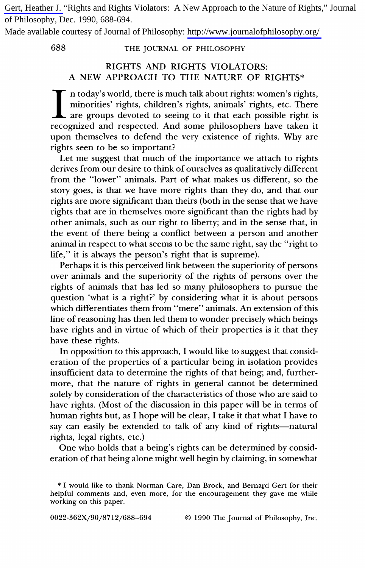[Gert, Heather J.](http://libres.uncg.edu/ir/uncg/clist.aspx?id=566) "Rights and Rights Violators: A New Approach to the Nature of Rights," Journal of Philosophy, Dec. 1990, 688-694.

Made available courtesy of Journal of Philosophy:<http://www.journalofphilosophy.org/>

## 688 THE JOURNAL OF PHILOSOPHY

## RIGHTS AND RIGHTS VIOLATORS:

A NEW APPROACH TO THE NATURE OF RIGHTS\*<br>
n today's world, there is much talk about rights: women's rights,<br>
minorities' rights, children's rights, animals' rights, etc. There<br>
are groups devoted to seeing to it that each p are groups devoted to seeing to it that each possible right is recognized and respected. And some philosophers have taken it upon themselves to defend the very existence of rights. Why are rights seen to be so important?

Let me suggest that much of the importance we attach to rights derives from our desire to think of ourselves as qualitatively different from the "lower" animals. Part of what makes us different, so the story goes, is that we have more rights than they do, and that our rights are more significant than theirs (both in the sense that we have rights that are in themselves more significant than the rights had by other animals, such as our right to liberty; and in the sense that, in the event of there being a conflict between a person and another animal in respect to what seems to be the same right, say the "right to life," it is always the person's right that is supreme).

Perhaps it is this perceived link between the superiority of persons over animals and the superiority of the rights of persons over the rights of animals that has led so many philosophers to pursue the question 'what is a right?' by considering what it is about persons which differentiates them from "mere" animals. An extension of this line of reasoning has then led them to wonder precisely which beings have rights and in virtue of which of their properties is it that they have these rights.

In opposition to this approach, I would like to suggest that consideration of the properties of a particular being in isolation provides insufficient data to determine the rights of that being; and, furthermore, that the nature of rights in general cannot be determined solely by consideration of the characteristics of those who are said to have rights. (Most of the discussion in this paper will be in terms of human rights but, as I hope will be clear, I take it that what I have to say can easily be extended to talk of any kind of rights-natural rights, legal rights, etc.)

One who holds that a being's rights can be determined by consideration of that being alone might well begin by claiming, in somewhat

<sup>\*</sup> I would like to thank Nonnan Care, Dan Brock, and Bernard Gert for their helpful comments and, even more, for the encouragement they gave me while working on this paper.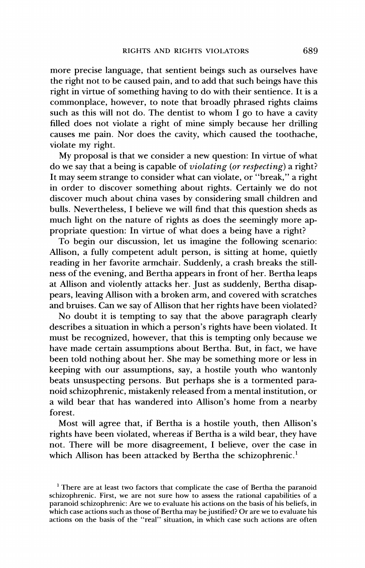more precise language, that sentient beings such as ourselves have the right not to be caused pain, and to add that such beings have this right in virtue of something having to do with their sentience. It is a commonplace, however, to note that broadly phrased rights claims such as this will not do. The dentist to whom  $I$  go to have a cavity filled does not violate a right of mine simply because her drilling causes me pain. Nor does the cavity, which caused the toothache, violate my right.

My proposal is that we consider a new question: In virtue of what do we say that a being is capable of *violating (or respecting)* a right? It may seem strange to consider what can violate, or "break," a right in order to discover something about rights. Certainly we do not discover much about china vases by considering small children and bulls. Nevertheless, I believe we will find that this question sheds as much light on the nature of rights as does the seemingly more appropriate question: In virtue of what does a being have a right?

To begin our discussion, let us imagine the following scenario: Allison, a fully competent adult person, is sitting at home, quietly reading in her favorite armchair. Suddenly, a crash breaks the stillness of the evening, and Bertha appears in front of her. Bertha leaps at Allison and violently attacks her. Just as suddenly, Bertha disappears, leaving Allison with a broken arm, and covered with scratches and bruises. Can we say of Allison that her rights have been violated?

No doubt it is tempting to say that the above paragraph clearly describes a situation in which a person's rights have been violated. It must be recognized, however, that this is tempting only because we have made certain assumptions about Bertha. But, in fact, we have been told nothing about her. She may be something more or less in keeping with our assumptions, say, a hostile youth who wantonly beats unsuspecting persons. But perhaps she is a tormented paranoid schizophrenic, mistakenly released from a mental institution, or a wild bear that has wandered into Allison's home from a nearby forest.

Most will agree that, if Bertha is a hostile youth, then Allison's rights have been violated, whereas if Bertha is a wild bear, they have not. There will be more disagreement, I believe, over the case in which Allison has been attacked by Bertha the schizophrenic.<sup>1</sup>

<sup>&</sup>lt;sup>1</sup> There are at least two factors that complicate the case of Bertha the paranoid schizophrenic. First, we are not sure how to assess the rational capabilities of a paranoid schizophrenic: Are we to evaluate his actions on the basis of his beliefs, in which case actions such as those of Bertha may be justified? Or are we to evaluate his actions on the basis of the "real" situation, in which case such actions are often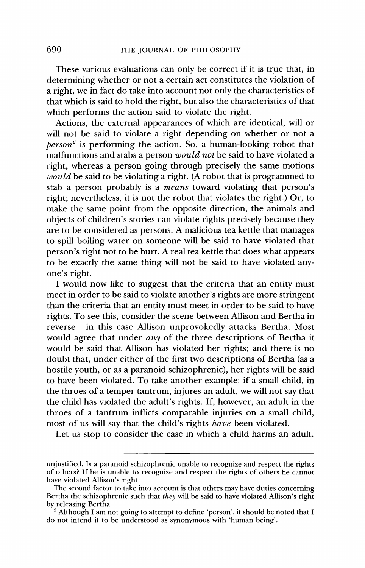These various evaluations can only be correct if it is true that, in determining whether or not a certain act constitutes the violation of a right, we in fact do take into account not only the characteristics of that which is said to hold the right, but also the characteristics of that which performs the action said to violate the right.

Actions, the external appearances of which are identical, will or will not be said to violate a right depending on whether or not a  $person<sup>2</sup>$  is performing the action. So, a human-looking robot that malfunctions and stabs a person *would not* be said to have violated a right, whereas a person going through precisely the same motions *would* be said to be violating a right. (A robot that is programmed to stab a person probably is a *means* toward violating that person's right; nevertheless, it is not the robot that violates the right.) Or, to make the same point from the opposite direction, the animals and objects of children's stories can violate rights precisely because they are to be considered as persons. A malicious tea kettle that manages to spill boiling water on someone will be said to have violated that person's right not to be hurt. A real tea kettle that does what appears to be exactly the same thing will not be said to have violated anyone's right.

I would now like to suggest that the criteria that an entity must meet in order to be said to violate another's rights are more stringent than the criteria that an entity must meet in order to be said to have rights. To see this, consider the scene between Allison and Bertha in reverse-in this case Allison unprovokedly attacks Bertha. Most would agree that under *any* of the three descriptions of Bertha it would be said that Allison has violated her rights; and there is no doubt that, under either of the first two descriptions of Bertha (as a hostile youth, or as a paranoid schizophrenic), her rights will be said to have been violated. To take another example: if a small child, in the throes of a temper tantrum, injures an adult, we will not say that the child has violated the adult's rights. If, however, an adult in the throes of a tantrum inflicts comparable injuries on a small child, most of us will say that the child's rights *have* been violated.

Let us stop to consider the case in which a child harms an adult.

unjustified. Is a paranoid schizophrenic unable to recognize and respect the rights of others? If he is unable to recognize and respect the rights of others he cannot have violated Allison's right.

The second factor to take into account is that others may have duties concerning Bertha the schizophrenic such that *they* will be said to have violated Allison's right by releasing Bertha.

<sup>&</sup>lt;sup>2</sup> Although I am not going to attempt to define 'person', it should be noted that I do not intend it to be understood as synonymous with 'human being'.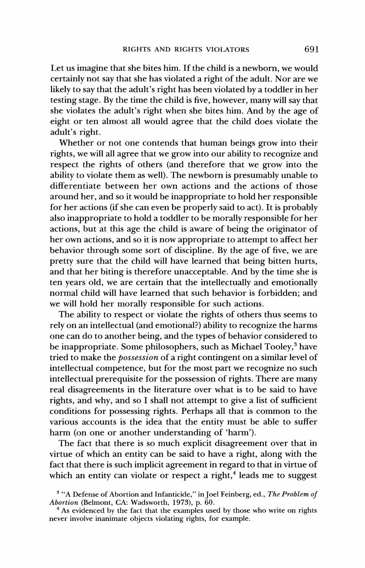Let us imagine that she bites him. If the child is a newborn, we would certainly not say that she has violated a right of the adult. Nor are we likely to say that the adult's right has been violated by a toddler in her testing stage. By the time the child is five, however, many will say that she violates the adult's right when she bites him. And by the age of eight or ten almost all would agree that the child does violate the adult's right.

Whether or not one contends that human beings grow into their rights, we will all agree that we grow into our ability to recognize and respect the rights of others (and therefore that we grow into the ability to violate them as well). The newborn is presumably unable to differentiate between her own actions and the actions of those around her, and so it would be inappropriate to hold her responsible for her actions (if she can even be properly said to act). It is probably also inappropriate to hold a toddler to be morally responsible for her actions, but at this age the child is aware of being the originator of her own actions, and so it is now appropriate to attempt to affect her behavior through some sort of discipline. By the age of five, we are pretty sure that the child will have learned that being bitten hurts. and that her biting is therefore unacceptable. And by the time she is ten years old, we are certain that the intellectually and emotionally normal child will have learned that such behavior is forbidden; and we will hold her morally responsible for such actions.

The ability to respect or violate the rights of others thus seems to rely on an intellectual (and emotional?) ability to recognize the harms one can do to another being, and the types of behavior considered to be inappropriate. Some philosophers, such as Michael Tooley,<sup>3</sup> have tried to make the *possession* of a right contingent on a similar level of intellectual competence, but for the most part we recognize no such intellectual prerequisite for the possession of rights. There are many real disagreements in the literature over what is to be said to have rights, and why, and so I shall not attempt to give a list of sufficient conditions for possessing rights. Perhaps all that is common to the various accounts is the idea that the entity must be able to suffer harm (on one or another understanding of 'harm').

The fact that there is so much explicit disagreement over that in virtue of which an entity can be said to have a right, along with the fact that there is such implicit agreement in regard to that in virtue of which an entity can violate or respect a right,<sup>4</sup> leads me to suggest

<sup>&</sup>lt;sup>3</sup> "A Defense of Abortion and Infanticide," in Joel Feinberg, ed., *The Problem of Abortion* (Belmont, CA: Wadsworth, 1973), p. 60.

<sup>&</sup>lt;sup>4</sup> As evidenced by the fact that the examples used by those who write on rights never involve inanimate objects violating rights, for example.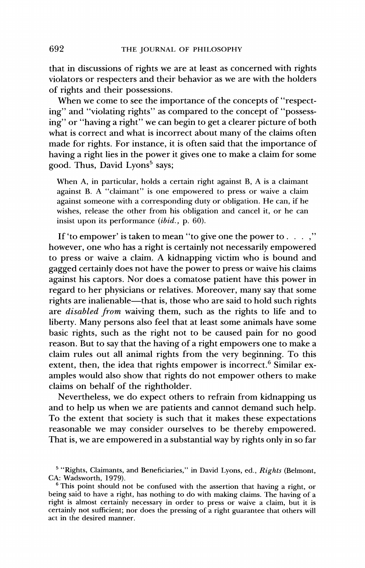that in discussions of rights we are at least as concerned with rights violators or respecters and their behavior as we are with the holders of rights and their possessions.

When we come to see the importance of the concepts of "respecting" and "violating rights" as compared to the concept of "possessing" or "having a right" we can begin to get a clearer picture of both what is correct and what is incorrect about many of the claims often made for rights. For instance, it is often said that the importance of having a right lies in the power it gives one to make a claim for some good. Thus, David Lyons<sup>5</sup> says;

When A, in particular, holds a certain right against B, A is a claimant against B. A "claimant" is one empowered to press or waive a claim against someone with a corresponding duty or obligation. He can, if he wishes, release the other from his obligation and cancel it, or he can insist upon its performance (ibid., p. 60).

If 'to empower' is taken to mean "to give one the power to. . . ," however, one who has a right is certainly not necessarily empowered to press or waive a claim. A kidnapping victim who is bound and gagged certainly does not have the power to press or waive his claims against his captors. Nor does a comatose patient have this power in regard to her physicians or relatives. Moreover, many say that some rights are inalienable—that is, those who are said to hold such rights are *disabled from* waiving them, such as the rights to life and to liberty. Many persons also feel that at least some animals have some basic rights, such as the right not to be caused pain for no good reason. But to say that the having of a right empowers one to make a claim rules out all animal rights from the very beginning. To this extent, then, the idea that rights empower is incorrect.<sup>6</sup> Similar examples would also show that rights do not empower others to make claims on behalf of the rightholder.

Nevertheless, we do expect others to refrain from kidnapping us and to help us when we are patients and cannot demand such help. To the extent that society is such that it makes these expectations reasonable we may consider ourselves to be thereby empowered. That is, we are empowered in a substantial way by rights only in so far

<sup>5 &</sup>quot;Rights, Claimants, and Beneficiaries," in David Lyons, ed., *Rights* (Belmont, CA: Wadsworth, 1979).

<sup>&</sup>lt;sup>6</sup> This point should not be confused with the assertion that having a right, or being said to have a right, has nothing to do with making claims. The having of a right is almost certainly necessary in order to press or waive a claim, but it is certainly not sufficient; nor does the pressing of a right guarantee that others will act in the desired manner.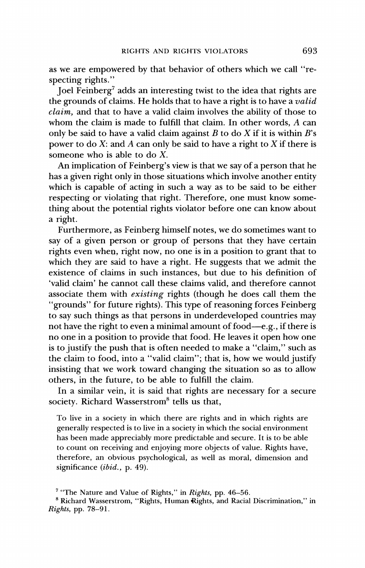as we are empowered by that behavior of others which we call "respecting rights."

Joel Feinberg7 adds an interesting twist to the idea that rights are the grounds of claims. He holds that to have a right is to have a *valid claim,* and that to have a valid claim involves the ability of those to whom the claim is made to fulfill that claim. In other words, *A* can only be said to have a valid claim against *B* to do X if it is within *B's*  power to do X: and *A* can only be said to have a right to X if there is someone who is able to do  $X$ .

An implication of Feinberg's view is that we say of a person that he has a given right only in those situations which involve another entity which is capable of acting in such a way as to be said to be either respecting or violating that right. Therefore, one must know something about the potential rights violator before one can know about a right.

Furthermore, as Feinberg himself notes, we do sometimes want to say of a given person or group of persons that they have certain rights even when, right now, no one is in a position to grant that to which they are said to have a right. He suggests that we admit the existence of claims in such instances, but due to his definition of 'valid claim' he cannot call these claims valid, and therefore cannot associate them with *existing* rights (though he does call them the "grounds" for future rights). This type of reasoning forces Feinberg to say such things as that persons in underdeveloped countries may not have the right to even a minimal amount of food—e.g., if there is no one in a position to provide that food. He leaves it open how one is to justify the push that is often needed to make a "claim," such as the claim to food, into a "valid claim"; that is, how we would justify insisting that we work toward changing the situation so as to allow others, in the future, to be able to fulfill the claim.

In a similar vein, it is said that rights are necessary for a secure society. Richard Wasserstrom<sup>8</sup> tells us that,

To live in a society in which there are rights and in which rights are generally respected is to live in a society in which the social environment has been made appreciably more predictable and secure. It is to be able to count on receiving and enjoying more objects of value. Rights have, therefore, an obvious psychological, as well as moral, dimension and significance *(ibid., p. 49).* 

<sup>7</sup>"The Nature and Value of Rights," in *Rights,* pp. 46-56.

<sup>8</sup> Richard Wasserstrom, "Rights, Human Rights, and Racial Discrimination," in *Rights,* pp. 78-91.